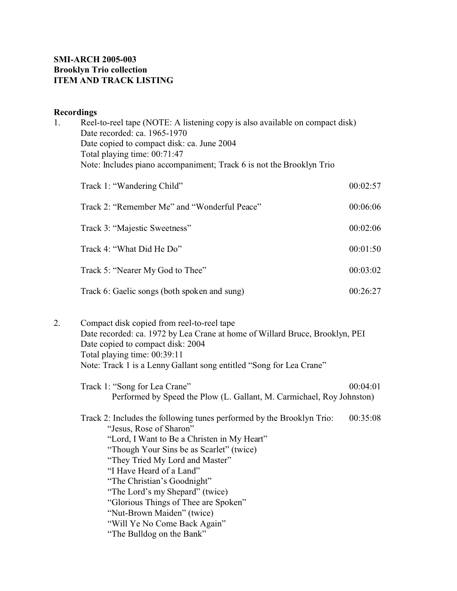## **SMI-ARCH 2005-003 Brooklyn Trio collection ITEM AND TRACK LISTING**

# **Recordings**

| 1. | Reel-to-reel tape (NOTE: A listening copy is also available on compact disk)<br>Date recorded: ca. 1965-1970<br>Date copied to compact disk: ca. June 2004<br>Total playing time: 00:71:47<br>Note: Includes piano accompaniment; Track 6 is not the Brooklyn Trio                                                                                                                                                                                              |          |  |
|----|-----------------------------------------------------------------------------------------------------------------------------------------------------------------------------------------------------------------------------------------------------------------------------------------------------------------------------------------------------------------------------------------------------------------------------------------------------------------|----------|--|
|    |                                                                                                                                                                                                                                                                                                                                                                                                                                                                 |          |  |
|    | Track 1: "Wandering Child"                                                                                                                                                                                                                                                                                                                                                                                                                                      | 00:02:57 |  |
|    | Track 2: "Remember Me" and "Wonderful Peace"                                                                                                                                                                                                                                                                                                                                                                                                                    | 00:06:06 |  |
|    | Track 3: "Majestic Sweetness"                                                                                                                                                                                                                                                                                                                                                                                                                                   | 00:02:06 |  |
|    | Track 4: "What Did He Do"                                                                                                                                                                                                                                                                                                                                                                                                                                       | 00:01:50 |  |
|    | Track 5: "Nearer My God to Thee"                                                                                                                                                                                                                                                                                                                                                                                                                                | 00:03:02 |  |
|    | Track 6: Gaelic songs (both spoken and sung)                                                                                                                                                                                                                                                                                                                                                                                                                    | 00:26:27 |  |
| 2. | Compact disk copied from reel-to-reel tape<br>Date recorded: ca. 1972 by Lea Crane at home of Willard Bruce, Brooklyn, PEI<br>Date copied to compact disk: 2004<br>Total playing time: 00:39:11<br>Note: Track 1 is a Lenny Gallant song entitled "Song for Lea Crane"                                                                                                                                                                                          |          |  |
|    | Track 1: "Song for Lea Crane"<br>Performed by Speed the Plow (L. Gallant, M. Carmichael, Roy Johnston)                                                                                                                                                                                                                                                                                                                                                          | 00:04:01 |  |
|    | Track 2: Includes the following tunes performed by the Brooklyn Trio:<br>"Jesus, Rose of Sharon"<br>"Lord, I Want to Be a Christen in My Heart"<br>"Though Your Sins be as Scarlet" (twice)<br>"They Tried My Lord and Master"<br>"I Have Heard of a Land"<br>"The Christian's Goodnight"<br>"The Lord's my Shepard" (twice)<br>"Glorious Things of Thee are Spoken"<br>"Nut-Brown Maiden" (twice)<br>"Will Ye No Come Back Again"<br>"The Bulldog on the Bank" | 00:35:08 |  |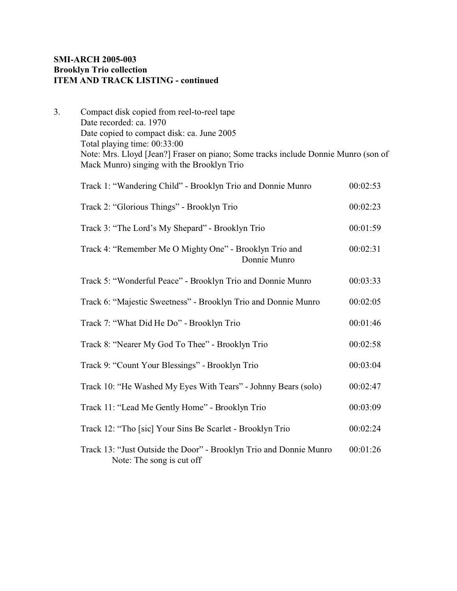## **SMI-ARCH 2005-003 Brooklyn Trio collection ITEM AND TRACK LISTING - continued**

| Compact disk copied from reel-to-reel tape                                         |
|------------------------------------------------------------------------------------|
| Date recorded: ca. 1970                                                            |
| Date copied to compact disk: ca. June 2005                                         |
| Total playing time: 00:33:00                                                       |
| Note: Mrs. Lloyd [Jean?] Fraser on piano; Some tracks include Donnie Munro (son of |
| Mack Munro) singing with the Brooklyn Trio                                         |
|                                                                                    |

| Track 1: "Wandering Child" - Brooklyn Trio and Donnie Munro                                     |          |  |
|-------------------------------------------------------------------------------------------------|----------|--|
| Track 2: "Glorious Things" - Brooklyn Trio                                                      |          |  |
| Track 3: "The Lord's My Shepard" - Brooklyn Trio                                                |          |  |
| Track 4: "Remember Me O Mighty One" - Brooklyn Trio and<br>Donnie Munro                         | 00:02:31 |  |
| Track 5: "Wonderful Peace" - Brooklyn Trio and Donnie Munro                                     | 00:03:33 |  |
| Track 6: "Majestic Sweetness" - Brooklyn Trio and Donnie Munro                                  | 00:02:05 |  |
| Track 7: "What Did He Do" - Brooklyn Trio                                                       | 00:01:46 |  |
| Track 8: "Nearer My God To Thee" - Brooklyn Trio                                                | 00:02:58 |  |
| Track 9: "Count Your Blessings" - Brooklyn Trio                                                 | 00:03:04 |  |
| Track 10: "He Washed My Eyes With Tears" - Johnny Bears (solo)                                  | 00:02:47 |  |
| Track 11: "Lead Me Gently Home" - Brooklyn Trio                                                 | 00:03:09 |  |
| Track 12: "Tho [sic] Your Sins Be Scarlet - Brooklyn Trio                                       | 00:02:24 |  |
| Track 13: "Just Outside the Door" - Brooklyn Trio and Donnie Munro<br>Note: The song is cut off | 00:01:26 |  |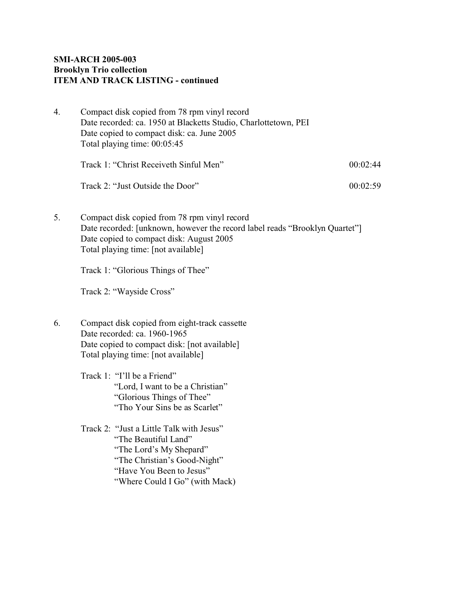### **SMI-ARCH 2005-003 Brooklyn Trio collection ITEM AND TRACK LISTING - continued**

4. Compact disk copied from 78 rpm vinyl record Date recorded: ca. 1950 at Blacketts Studio, Charlottetown, PEI Date copied to compact disk: ca. June 2005 Total playing time: 00:05:45 Track 1: "Christ Receiveth Sinful Men" 00:02:44 Track 2: "Just Outside the Door" 00:02:59 5. Compact disk copied from 78 rpm vinyl record Date recorded: [unknown, however the record label reads "Brooklyn Quartet"] Date copied to compact disk: August 2005 Total playing time: [not available] Track 1: "Glorious Things of Thee" Track 2: "Wayside Cross" 6. Compact disk copied from eight-track cassette Date recorded: ca. 1960-1965 Date copied to compact disk: [not available] Total playing time: [not available] Track 1: "I'll be a Friend" "Lord, I want to be a Christian" "Glorious Things of Thee" "Tho Your Sins be as Scarlet" Track 2: "Just a Little Talk with Jesus" "The Beautiful Land" "The Lord's My Shepard" "The Christian's Good-Night" "Have You Been to Jesus" "Where Could I Go" (with Mack)